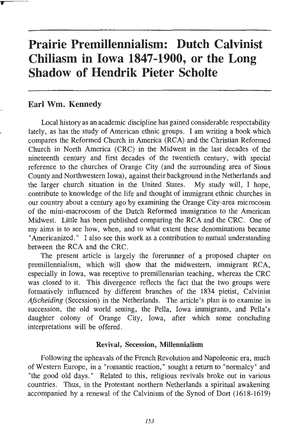# **Prairie Premillennialism: Dutch Calvinist Chiliasm in Iowa 1847-1900, or the Long Shadow of Hendrik Pieter Scholte**

## **Earl Wm. Kennedy**

Local history as an academic discipline has gained considerable respectability lately, as has the study of American ethnic groups. I am writing a book which compares the Reformed Church in America (RCA) and the Christian Reformed Church in North America (CRC) in the Midwest in the last decades of the nineteenth century and first decades of the twentieth century, with special reference to the churches of Orange City (and the surrounding area of Sioux County and Northwestern Iowa), against their background in the Netherlands and the larger church situation in the United States. My study will, I hope, contribute to knowledge of the life and thought of immigrant ethnic churches in our country about a century ago by examining the Orange City-area microcosm of the mini-macrocosm of the Dutch Reformed immigration to the American Midwest. Little has been published comparing the RCA and the CRC. One of my aims is to see how, when, and to what extent these denominations became "Americanized. " I also see this work as a contribution to mutual understanding between the RCA and the CRC.

The present article is largely the forerunner of a proposed chapter on premillennialism, which will show that the midwestern, immigrant RCA, especially in Iowa, was receptive to premillenarian teaching, whereas the CRC was closed to it. This divergence reflects the fact that the two groups were formatively influenced by different branches of the 1834 pietist, Calvinist *Afscheiding* (Secession) in the Netherlands. The article's plan is to examine in succession, the old world setting, the Pella, Iowa immigrants, and Pella's daughter colony of Orange City, Iowa, after which some concluding interpretations will be offered.

### **Revival,** Secession, **Millennialism**

Following the upheavals of the French Revolution and Napoleonic era, much of Western Europe, in a "romantic reaction," sought a return to "normalcy" and "the good old days." Related to this, religious revivals broke out in various countries. Thus, in the Protestant northern Netherlands a spiritual awakening accompanied by a renewal of the Calvinism of the Synod of Dort (1618-1619)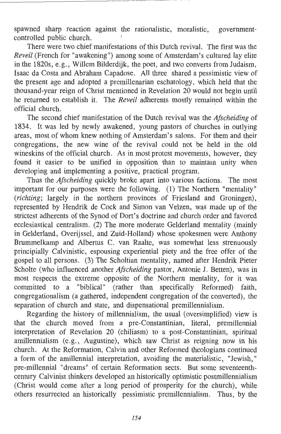spawned sharp reaction against the rationalistic, moralistic, governmentcontrolled public church.

There were two chief manifestations of this Dutch revival. The first was the *Reveil* (French for "awakening") among some of Amsterdam's cultured lay elite in the 1820s, e.g., Willem Bilderdijk, the poet, and two converts from Judaism, Isaac da Costa and Abraham Capadose. All three shared a pessimistic view of the present age and adopted a premillenarian eschatology, which held that the thousand-year reign of Christ mentioned in Revelation 20 would not begin until he returned to establish it. The *Reveil* adherents mostly remained within the official church.

The second chief manifestation of the Dutch revival was the *Afscheiding* of 1834. It was led by newly awakened, young pastors of churches in outlying areas, most of whom knew nothing of Amsterdam's salons. For them and their congregations, the new wine of the revival could not be held in the old wineskins of the official church. As in most protest movements, however, they found it easier to be unified in opposition than to maintain unity when developing and implementing a positive, practical program.

Thus the *Afscheiding* quickly broke apart into various factions. The most important for our purposes were the following. (1) The Northern "mentality" *(richting;* largely in the northern provinces of Friesland and Groningen), represented by Hendrik de Cock and Simon van Velzen, was made up of the strictest adherents of the Synod of Dort's doctrine and church order and favored ecclesiastical centralism. (2) The more moderate Gelderland mentality (mainly in Gelderland, Overijssel, and Zuid-Holland) whose spokesmen were Anthony Brummelkamp and Albertus C. van Raalte, was somewhat less strenuously principially Calvinistic, espousing experiential piety and the free offer of the gospel to all persons. (3) The Scholtian mentality, named after Hendrik Pieter Scholte (who influenced another *Afscheiding* pastor, Antonie J. Betten), was in most respects the extreme opposite of the Northern mentality, for it was committed to a "biblical" (rather than specifically Reformed) faith, congregationalism (a gathered, independent congregation of the converted), the separation of church and state, and dispensational premillennialism.

Regarding the history of millennialism, the usual (oversimplified) view is that the church moved from a pre-Constantinian, literal, premillennial interpretation of Revelation 20 (chiliasm) to a post-Constantinian, spiritual amillennialism (e.g., Augustine), which saw Christ as reigning now in his church. At the Reformation, Calvin and other Reformed theologians continued a form of the amillennial interpretation, avoiding the materialistic, "Jewish," pre-millennial "dreams" of certain Reformation sects. But some seventeenthcentury Calvinist thinkers developed an historically optimistic postmillennialism (Christ would come after a long period of prosperity for the church), while others resurrected an historically pessimistic premillennialism. Thus, by the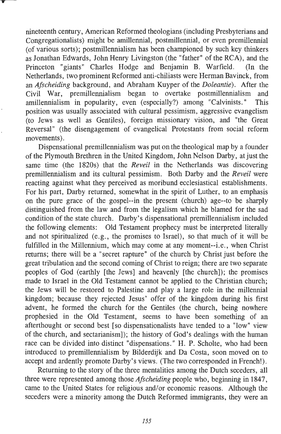nineteenth century, American Reformed theologians (including Presbyterians and Congregationalists) might be amillennial, postmillennial, or even premillennial (of various sorts); postmillennialism has been championed by such key thinkers as Jonathan Edwards, John Henry Livingston (the "father" of the RCA), and the Princeton "giants" Charles Hodge and Benjamin B. Warfield. (In the Netherlands, two prominent Reformed anti-chiliasts were Herman Bavinck, from an *Afscheiding* background, and Abraham Kuyper of the *Doleantie).* After the Civil War, premillennialism began to overtake postmillennialism and amillennialism in popularity, even (especially?) among "Calvinists." This position was usually associated with cultural pessimism, aggressive evangelism (to Jews as well as Gentiles), foreign missionary vision, and "the Great Reversal" (the disengagement of evangelical Protestants from social reform movements).

Dispensational premillennialism was put on the theological map by a founder of the Plymouth Brethren in the United Kingdom, John Nelson Darby, at just the same time (the 1820s) that the *Reveil* in the Netherlands was discovering premillennialism and its cultural pessimism. Both Darby and the *Reveil* were reacting against what they perceived as moribund ecclesiastical establishments. For his part, Darby returned, somewhat in the spirit of Luther, to an emphasis on the pure grace of the gospel--in the present (church) age--to be sharply distinguished from the law and from the legalism which he blamed for the sad condition of the state church. Darby's dispensational premillennialism included the following elements: Old Testament prophecy must be interpreted literally and not spiritualized (e .g., the promises to Israel), so that much of it will be fulfilled in the Millennium, which may come at any moment--i.e., when Christ returns; there will be a "secret rapture" of the church by Christ just before the great tribulation and the second coming of Christ to reign; there are two separate peoples of God (earthly [the Jews] and heavenly [the church]); the promises made to Israel in the Old Testament cannot be applied to the Christian church; the Jews will be restored to Palestine and play a large role in the millennial kingdom; because they rejected Jesus' offer of the kingdom during his first advent, he formed the church for the Gentiles (the church, being nowhere prophesied in the Old Testament, seems to have been something of an afterthought or second best [so dispensationalists have tended to a "low" view of the church, and sectarianism]); the history of God's dealings with the human race can be divided into distinct "dispensations." H. P. Scholte, who had been introduced to premillennialism by Bilderdijk and Da Costa, soon moved on to accept and ardently promote Darby's views. (The two corresponded in French!).

Returning to the story of the three mentalities among the Dutch seceders, all three were represented among those *Afscheiding* people who, beginning in 1847, came to the United States for religious and/or economic reasons. Although the seceders were a minority among the Dutch Reformed immigrants, they were an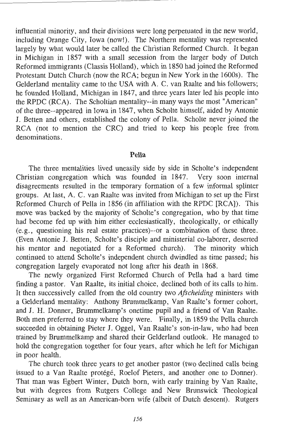influential minority, and their divisions were long perpetuated in the new world, including Orange City, Iowa (now!). The Northern mentality was represented largely by what would later be called the Christian Reformed Church. It began in Michigan in 1857 with a small secession from the larger body of Dutch Reformed immigrants (Classis Holland), which in 1850 had joined the Reformed Protestant Dutch Church (now the RCA; begun in New York in the 1600s). The Gelderland mentality came to the USA with A. C. van Raalte and his followers; he founded Holland, Michigan in 1847, and three years later led his people into the RPDC (RCA). The Scholtian mentality--in many ways the most "American" of the three--appeared in Iowa in 1847, when Scholte himself, aided by Antonie J. Betten and others, established the colony of Pella. Scholte never joined the RCA (not to mention the CRC) and tried to keep his people free from denominations.

#### **Pella**

The three mentalities lived uneasily side by side in Scholte's independent Christian congregation which was founded in 1847. Very soon internal disagreements resulted in the temporary formation of a few informal splinter groups. At last, A. C. van Raalte was invited from Michigan to set up the First Reformed Church of Pella in 1856 (in affiliation with the RPDC [RCA]). This move was backed by the majority of Scholte's congregation, who by that time had become fed up with him either ecclesiastically, theologically, or ethically (e.g., questioning his real estate practices)--or a combination of these three. (Even Antonie J. Betten, Scholte's disciple and ministerial co-laborer, deserted his mentor and negotiated for a Reformed church). The minority which continued to attend Scholte's independent church dwindled as time passed; his congregation largely evaporated not long after his death in 1868.

The newly organized First Reformed Church of Pella had a hard time finding a pastor. Van Raalte, its initial choice, declined both of its calls to him. It then successively called from the old country two *Afscheiding* ministers with a Gelderland mentality: Anthony Brummelkamp, Van Raalte's former cohort, and J. H. Donner, Brummelkamp's onetime pupil and a friend of Van Raalte. Both men preferred to stay where they were. Finally, in 1859 the Pella church succeeded in obtaining Pieter J. Oggel, Van Raalte's son-in-law, who had been trained by Brummelkamp and shared their Gelderland outlook. He managed to hold the congregation together for four years, after which he left for Michigan in poor health.

The church took three years to get another pastor (two declined calls being issued to a Van Raalte protégé, Roelof Pieters, and another one to Donner). That man was Egbert Winter, Dutch born, with early training by Van Raalte, but with degrees from Rutgers College and New Brunswick Theological Seminary as well as an American-born wife (albeit of Dutch descent). Rutgers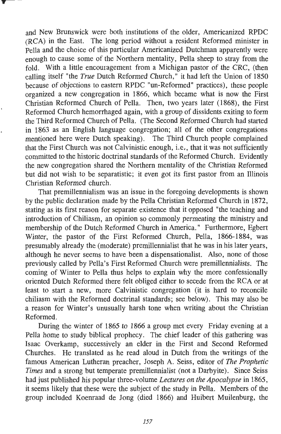and New Brunswick were both institutions of the older, Americanized RPDC (RCA) in the East. The long period without a resident Reformed minister in Pella and the choice of this particular Americanized Dutchman apparently were enough to cause some of the Northern mentality, Pella sheep to stray from the fold. With a little encouragement from a Michigan pastor of the CRC, (then calling itself "the *True* Dutch Reformed Church," it had left the Union of 1850 because of objections to eastern RPDC "un-Reformed" practices), these people organized a new congregation in 1866, which became what is now the First Christian Reformed Church of Pella. Then, two years later (1868), the First Reformed Church hemorrhaged again, with a group of dissidents exiting to form the Third Reformed Church of Pella. (The Second Reformed Church had started in 1863 as an English language congregation; all of the other congregations mentioned here were Dutch speaking). The Third Church people complained that the First Church was not Calvinistic enough, i.e,, that it was not sufficiently committed to the historic doctrinal standards of the Reformed Church. Evidently the new congregation shared the Northern mentality of the Christian Reformed but did not wish to be separatistic; it even got its first pastor from an Illinois Christian Reformed church.

That premillennialism was an issue in the foregoing developments is shown by the public declaration made by the Pella Christian Reformed Church in 1872, stating as its first reason for separate existence that it opposed "the teaching and introduction of Chiliasm, an opinion so commonly permeating the ministry and membership of the Dutch Reformed Church in America." Furthermore, Egbert Winter, the pastor of the First Reformed Church, Pella, 1866-1884, was presumably already the (moderate) premillennialist that he was in his later years, although he never seems to have been a dispensationalist. Also, none of those previously called by Pella's First Reformed Church were premillennialists. The coming of Winter to Pella thus helps to explain why the more confessionally oriented Dutch Reformed there felt obliged either to secede from the RCA or at least to start a new, more Calvinistic congregation (it is hard to reconcile chiliasm with the Reformed doctrinal standards; see below). This may also be a reason for Winter's unusually harsh tone when writing about the Christian Reformed.

During the winter of 1865 to 1866 a group met every Friday evening at a Pella home to study biblical prophecy. The chief leader of this gathering was Isaac Overkamp, successively an elder in the First and Second Reformed Churches. He translated as he read aloud in Dutch from the writings of the famous American Lutheran preacher, Joseph A. Seiss, editor of *The Prophetic Times* and a strong but temperate premillennialist (not a Darbyite). Since Seiss had just published his popular three-volume *Lectures on the Apocalypse* in 1865, it seems likely that these were the subject of the study in Pella. Members of the group included Koenraad de Jong (died 1866) and Huibert Muilenburg, the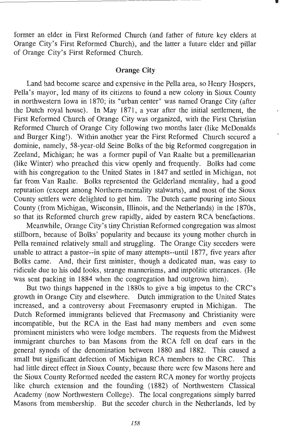former an elder in First Reformed Church (and father of future key elders at Orange City's First Reformed Church), and the latter a future elder and pillar of Orange City's First Reformed Church.

## **Orange City**

Land had become scarce and expensive in the Pella area, so Henry Hospers, Pella's mayor, led many of its citizens to found a new colony in Sioux County in northwestern Iowa in 1870; its "urban center" was named Orange City (after the Dutch royal house). In May 1871, a year after the initial settlement, the First Reformed Church of Orange City was organized, with the First Christian Reformed Church of Orange City following two months later (like McDonalds and Burger King!). Within another year the First Reformed Church secured a dominie, namely, 58-year-old Seine Bolks of the big Reformed congregation in Zeeland, Michigan; he was a former pupil of Van Raalte but a premillenarian (like Winter) who preached this view openly and frequently . Bolks had come with his congregation to the United States in 1847 and settled in Michigan, not far from Van Raalte. Bolks represented the Gelderland mentality, had a good reputation (except among Northern-mentality stalwarts), and most of the Sioux County settlers were delighted to get him. The Dutch came pouring into Sioux County (from Michigan, Wisconsin, Illinois, and the Netherlands) in the 1870s, so that its Reformed church grew rapidly, aided by eastern RCA benefactions.

Meanwhile, Orange City's tiny Christian Reformed congregation was almost stillborn, because of Bolks' popularity and because its young mother church in Pella remained relatively small and struggling. The Orange City seceders were unable to attract a pastor--in spite of many attempts--until 1877, five years after Bolks came. And, their first minister, though a dedicated man, was easy to ridicule due to his odd looks, strange mannerisms, and impolitic utterances. (He was sent packing in 1884 when the congregation had outgrown him).

But two things happened in the 1880s to give a big impetus to the CRC's growth in Orange City and elsewhere. Dutch immigration to the United States increased, and a controversy about Freemasonry erupted in Michigan. The Dutch Reformed immigrants believed that Freemasony and Christianity were incompatible, but the RCA in the East had many members and even some prominent ministers who were lodge members. The requests from the Midwest immigrant churches to ban Masons from the RCA fell on deaf ears in the general synods of the denomination between 1880 and 1882. This caused a small but significant defection of Michigan RCA members to the CRC. This had little direct effect in Sioux County, because there were few Masons here and the Sioux County Reformed needed the eastern RCA money for worthy projects like church extension and the founding (1882) of Northwestern Classical Academy (now Northwestern College). The local congregations simply barred Masons from membership. But the seceder church in the Netherlands, led by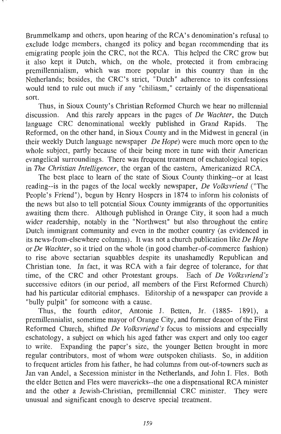Brummelkamp and others, upon hearing of the RCA's denomination's refusal to exclude lodge members, changed its policy and began recommending that its emigrating people join the CRC, not the RCA. This helped the CRC grow but it also kept it Dutch, which, on the whole, protected it from embracing premillennialism, which was more popular in this country than in the Netherlands; besides, the CRC's strict, "Dutch" adherence to its confessions would tend to tule out much if any "chiliasm," certainly of the dispensational sort.

Thus, in Sioux County's Christian Reformed Church we hear no millennial discussion. And this rarely appears in the pages of *De Wachter,* the Dutch language CRC denominational weekly published in Grand Rapids. Reformed, on the other hand, in Sioux County and in the Midwest in general (in their weekly Dutch language newspaper *De Hope)* were much more open to the whole subject, partly because of their being more in tune with their American evangelical surroundings. There was frequent treatment of eschatological topics in *The Christian Intelligencer,* the organ of the eastern, Americanized RCA.

The best place to learn of the state of Sioux County thinking--or at least reading--is in the pages of the local weekly newspaper, *De Volksvriend* ("The People's Friend"), begun by Henry Hospers in 1874 to inform his colonists of the news but also to tell potential Sioux County immigrants of the opportunities awaiting them there. Although published in Orange City, it soon had a much wider readership, notably in the "Northwest" but also throughout the entire Dutch immigrant community and even in the mother country (as evidenced in its news-from-elsewhere columns). It was not a church publication like *De Hope*  or *De Wachter,* so it tried on the whole (in good chamber-of-commerce fashion) to rise above sectarian squabbles despite its unashamedly Republican and Christian tone. In fact, it was RCA with a fair degree of tolerance, for that time, of the CRC and other Protestant groups. Each of *De Volksvriend's*  successive editors (in our period, all members of the First Reformed Church) had his particular editorial emphases. Editorship of a newspaper can provide a "bully pulpit" for someone with a cause.

Thus, the fourth editor, Antonie J. Betten, Jr. (1885- 1891), a premillennialist, sometime mayor of Orange City, and former deacon of the First Reformed Church, shifted *De Volksvriend's* focus to missions and especially eschatology, a subject on which his aged father was expert and only too eager to write. Expanding the paper's size, the younger Betten brought in more regular contributors, most of whom were outspoken chiliasts. So, in addition to frequent articles from his father, he had columns from out-of-towners such as Jan van Andel, a Secession minister in the Netherlands, and John I. Fies. Both the elder Betten and Fies were mavericks--the one a dispensational RCA minister and the other a Jewish-Christian, premillennial CRC minister. They were unusual and significant enough to deserve special treatment.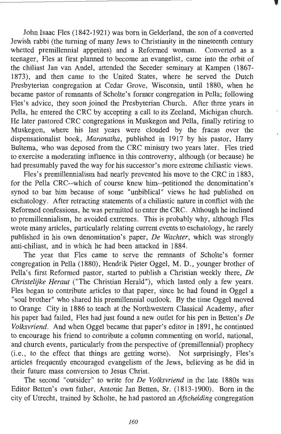John Isaac Fies (1842-1921) was born in Gelderland, the son of a converted Jewish rabbi (the turning of many Jews to Christianity in the nineteenth century whetted premillennial appetites) and a Reformed woman. Converted as a teenager, Fles at first planned to become an evangelist, came into the orbit of the chiliast Jan van Andel, attended the Seceder seminary at Kampen (1867- 1873), and then came to the United States, where he served the Dutch Presbyterian congregation at Cedar Grove, Wisconsin, until 1880, when he became pastor of remnants of Scholte's former congregation in Pella; following Fles's advice, they soon joined the Presbyterian Church. After three years in Pella, he entered the CRC by accepting a call to its Zeeland, Michigan church. He later pastored CRC congregations in Muskegon and Pella, finally retiring to Muskegon, where his last years were clouded by the fracas over the dispensationalist book, *Maranatha,* published in 1917 by his pastor, Harry Bultema, who was deposed from the CRC ministry two years later. Fies tried to exercise a moderating influence in this controversy, although (or because) he had presumably paved the way for his successor's more extreme chiliastic views.

Fles's premillennialism had nearly prevented his move to the CRC in 1883, for the Pella CRC--which of course knew him--petitioned the denomination's synod to bar him because of some "unbiblical" views he had published on eschatology. After retracting statements of a chiliastic nature in conflict with the Reformed confessions, he was permitted to enter the CRC. Although he inclined to premillennialism, he avoided extremes. This is probably why, although Fles wrote many articles, particularly relating current events to eschatology, he rarely published in his own denomination's paper, *De Wachter,* which was strongly anti-chiliast, and in which he had been attacked in 1884.

The year that Fies came to serve the remnants of Scholte's former congregation in Pella (1880), Hendrik Pieter Oggel, M. D., younger brother of Pella's first Reformed pastor, started to publish a Christian weekly there, *De Christelijke Heraut* ("The Christian Herald"), which lasted only a few years. Fles began to contribute articles to that paper, since he had found in Oggel a "soul brother" who shared his premillennial outlook. By the time Oggel moved to Orange City in 1886 to teach at the Northwestern Classical Academy, after his paper had failed, Fies had just found a new outlet for his pen in Betten's *De Volksvriend.* And when Oggel became that paper's editor in 1891, he continued to encourage his friend to contribute a column commenting on world, national, and church events, particularly from the perspective of (premillennial) prophecy (i.e., to the effect that things are getting worse). Not surprisingly, Fles's articles frequently encouraged evangelism of the Jews, believing as he did in their future mass conversion to Jesus Christ.

The second "outsider" to write for *De Volksvriend* in the late 1880s was Editor Betten's own father, Antonie Jan Betten, Sr. (1813-1900). Born in the city of Utrecht, trained by Scholte, he had pastored an *Afscheiding* congregation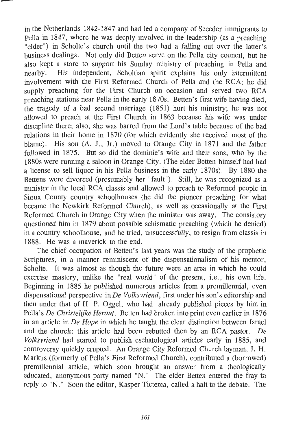in the Netherlands 1842-1847 and had led a company of Seceder immigrants to Pella in 1847, where he was deeply involved in the leadership (as a preaching "elder") in Scholte's church until the two had a falling out over the latter's business dealings. Not only did Betten serve on the Pella city council, but he also kept a store to support his Sunday ministry of preaching in Pella and nearby. His independent, Scholtian spirit explains his only intermittent involvement with the First Reformed Church of Pella and the RCA; he did supply preaching for the First Church on occasion and served two RCA preaching stations near Pella in the early 1870s. Betten's first wife having died, the tragedy of a bad second marriage (1851) hurt his ministry; he was not allowed to preach at the First Church in 1863 because his wife was under discipline there; also, she was barred from the Lord's table because of the bad relations in their home in 1870 (for which evidently she received most of the blame). His son (A. J., Jr.) moved to Orange City in 1871 and the father followed in 1875. But so did the dominie's wife and their sons, who by the 1880s were running a saloon in Orange City. (The elder Betten himself had had a license to sell liquor in his Pella business in the early 1870s). By 1880 the Bettens were divorced (presumably her "fault"). Still, he was recognized as a minister in the local RCA classis and allowed to preach to Reformed people in Sioux County country schoolhouses (he did the pioneer preaching for what became the Newkirk Reformed Church), as well as occasionally at the First Reformed Church in Orange City when the minister was away. The consistory questioned him in 1879 about possible schismatic preaching (which he denied) in a country schoolhouse, and he tried, unsuccessfully, to resign from classis in 1888. He was a maverick to the end.

The chief occupation of Betten's last years was the study of the prophetic Scriptures, in a manner reminiscent of the dispensationalism of his mentor, Scholte. It was almost as though the future were an area in which he could exercise mastery, unlike the "real world" of the present, i.e., his own life. Beginning in 1885 he published numerous articles from a premillennial, even dispensational perspective in *De Volksvriend,* first under his son's editorship and then under that of H. P. Oggel, who had already published pieces by him in Pella's *De Christelijke Heraut.* Betten had broken into print even earlier in 1876 in an article in *De Hope* in which he taught the clear distinction between Israel and the church; this article had been rebutted then by an RCA pastor. *De Volksvriend* had started to publish eschatological articles early in 1885, and controversy quickly erupted. An Orange City Reformed Church layman, J. H. Markus (formerly of Pella's First Reformed Church), contributed a (borrowed) premillennial article, which soon brought an answer from a theologically educated, anonymous party named "N." The elder Betten entered the fray to reply to "N." Soon the editor, Kasper Tietema, called a halt to the debate. The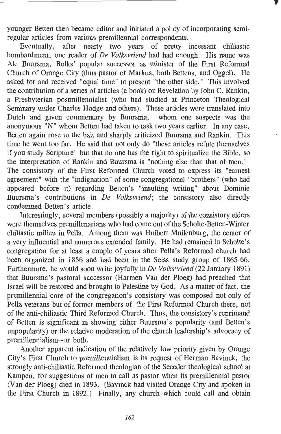younger Betten then became editor and initiated a policy of incorporating semiregular articles from various premlllennial correspondents.

Eventually, after nearly two years of pretty incessant chiliastic bombardment, one reader of *De Volksvriend* had had enough. His name was Ale Buursma, Bolks' popular successor as minister of the First Reformed Church of Orange City (thus pastor of Markus, both Bettens, and Oggel). He asked for and received "equal time" to present "the other side." This involved the contribution of a series of articles (a book) on Revelation by John C. Rankin, a Presbyterian postmillennialist (who had studied at Princeton Theological Seminary under Charles Hodge and others). These articles were translated into Dutch and given commentary by Buursma, whom one suspects was the anonymous "N" whom Betten had taken to task two years earlier. In any case, Betten again rose to the bait and sharply criticized Buursma and Rankin. This time he went too far. He said that not only do "these articles refute themselves if you study Scripture" but that no one has the right to spiritualize the Bible, so the interpretation of Rankin and Buursma is "nothing else than that of men. " The consistory of the First Reformed Church voted to express its "earnest agreement" with the "indignation" of some congregational "brothers" (who had appeared before it) regarding Betten's "insulting writing" about Dominie Buursma's contributions in *De Volksvriend;* the consistory also directly condemned Betten's article.

Interestingly, several members (possibly a majority) of the consistory elders were themselves premillenarians who had come out of the Scholte-Betten-Winter chiliastic milieu in Pella. Among them was Huibert Muilenburg, the center of a very influential and numerous extended family. He had remained in Scholte's congregation for at least a couple of years after Pella's Reformed church had been organized in 1856 and had been in the Seiss study group of 1865-66. Furthermore, he would soon write joyfully *inDe Volksvriend* (22 January 1891) that Buursma's pastoral successor (Harmen Van der Ploeg) had preached that Israel will be restored and brought to Palestine by God. As a matter of fact, the premillennial core of the congregation's consistory was composed not only of Pella veterans but of former members of the First Reformed Church there, not of the anti-chiliastic Third Reformed Church. Thus, the consistory's reprimand of Betten is significant in showing either Buursma's popularity (and Betten's unpopularity) or the relative moderation of the church leadership's advocacy of premillennialism--or both.

Another apparent indication of the relatively low priority given by Orange City's First Church to premillennialism is its request of Herman Bavinck, the strongly anti-chiliastic Reformed theologian of the Seceder theological school at Kampen, for suggestions of men to call as pastor when its premillennial pastor (Van der Ploeg) died in 1893. (Bavinck had visited Orange City and spoken in the First Church in 1892.) Finally, any church which could call and obtain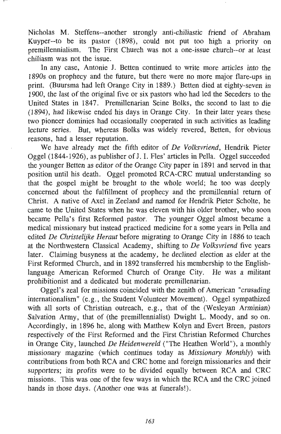Nicholas M. Steffens--another strongly anti-chiliastic friend of Abraham Kuyper--to be its pastor (1898), could not put too high a priority on premillennialism. The First Church was not a one-issue church--or at least chiliasm was not the issue.

In any case, Antonie J. Betten continued to write more articles into the 1890s on prophecy and the future, but there were no more major flare-ups in print. (Buursma had left Orange City in 1889.) Betten died at eighty-seven in 1900, the last of the original five or six pastors who had led the Seceders to the United States in 1847. Premillenarian Seine Bolks, the second to last to die (1894), had likewise ended his days in Orange City. In their later years these two pioneer dominies had occasionally cooperated in such activities as leading lecture series. But, whereas Bolks was widely revered, Betten, for obvious reasons, had a lesser reputation.

We have already met the fifth editor of *De Volksvriend,* Hendrik Pieter Oggel (1844-1926), as publisher of J. I. Fles' articles in Pella. Oggel succeeded the younger Betten as editor of the Orange City paper in 1891 and served in that position until his death. Oggel promoted RCA-CRC mutual understanding so that the gospel might be brought to the whole world; he too was deeply concerned about the fulfillment of prophecy and the premillennial return of Christ. A native of Axel in Zeeland and named for Hendrik Pieter Scholte, he came to the United States when he was eleven with his older brother, who soon became Pella's first Reformed pastor. The younger Oggel almost became a medical missionary but instead practiced medicine for a some years in Pella and edited *De Christelijke Herauf* before migrating to Orange City in 1886 to teach at the Northwestern Classical Academy, shifting to *De Volksvriend* five years later. Claiming busyness at the academy, he declined election as elder at the First Reformed Church, and in 1892 transferred his membership to the Englishlanguage American Reformed Church of Orange City. He was a militant prohibitionist and a dedicated but moderate premillenarian.

Oggel's zeal for missions coincided with the zenith of American "crusading" internationalism" (e.g., the Student Volunteer Movement). Oggel sympathized with all sorts of Christian outreach, e.g., that of the (Wesleyan Arminian) Salvation Army, that of (the premillennialist) Dwight L. Moody, and so on. Accordingly, in 1896 he, along with Matthew Kolyn and Evert Breen, pastors respectively of the First Reformed and the First Christian Reformed Churches in Orange City, launched *De Heidenwereld* ("The Heathen World"), a monthly missionary magazine (which continues today as *Missionary Monthly)* with contributions from both RCA and CRC home and foreign missionaries and their supporters; its profits were to be divided equally between RCA and CRC missions. This was one of the few ways in which the RCA and the CRC joined hands in those days. (Another one was at funerals!).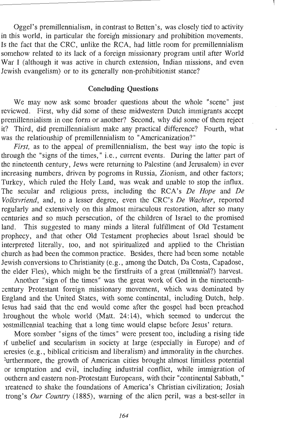Oggel's premillennialism, in contrast to Betten's, was closely tied to activity in this world, in particular the foreign missionary and prohibition movements. Is the fact that the CRC, unlike the RCA, had little room for premillennialism somehow related to its lack of a foreign missionary program until after World War I (although it was active in church extension, Indian missions, and even Jewish evangelism) or to its generally non-prohibitionist stance?

#### **Concluding Questions**

We may now ask some broader questions about the whole "scene" just reviewed. First, why did some of these midwestern Dutch immigrants accept premillennialism in one form or another? Second, why did some of them reject it? Third, did premillennialism make .any practical difference? Fourth, what was the relationship of premillennialism to "Americanization?"

*First*, as to the appeal of premillennialism, the best way into the topic is through the "signs of the times," i.e., current events. During the latter part of the nineteenth century, Jews were returning to Palestine (and Jerusalem) in ever increasing numbers, driven by pogroms in Russia, Zionism, and other factors; Turkey, which ruled the Holy Land, was weak and unable to stop the influx. The secular and religious press, including the RCA's *De Hope* and *De Volksvriend,* and, to a lesser degree, even the CRC's *De Wachter,* reported regularly and extensively on this almost miraculous restoration, after so many centuries and so much persecution, of the children of Israel to the promised land. This suggested to many minds a literal fulfillment of Old Testament prophecy, and that other Old Testament prophecies about Israel should be interpreted literally, too, and not spiritualized and applied to the Christian church as had been the common practice. Besides, there had been some notable Jewish conversions to Christianity (e.g., among the Dutch, Da Costa, Capadose, the elder Fies), which might be the firstfruits of a great (millennial?) harvest.

Another "sign of the times" was the great work of God in the nineteenth century Protestant foreign missionary movement, which was dominated by England and the United States, with some continental, including Dutch, help. lesus had said that the end would come after the gospel had been preached hroughout the whole world (Matt. 24:14), which seemed to undercut the JOStmillennial teaching that a long time would elapse before Jesus' return.

More somber "signs of the times" were present too, including a rising tide >f unbelief and secularism in society at large (especially in Europe) and of 1eresies (e.g., biblical criticism and liberalism) and immorality in the churches. ~urthermore, the growth of American cities brought almost limitless potential or temptation and evil, including industrial conflict, while immigration of outhern and eastern non-Protestant Europeans, with their "continental Sabbath," lreatened to shake the foundations of America's Christian civilization; Josiah trong's *Our Country* (1885), warning of the alien peril, was a best-seller in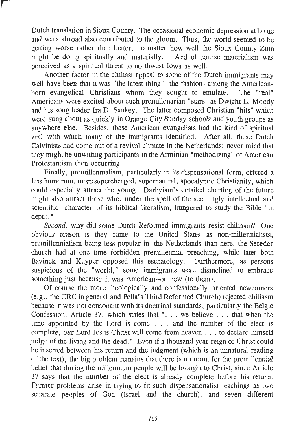Dutch translation in Sioux County. The occasional economic depression at home and wars abroad also contributed to the gloom. Thus, the world seemed to be getting worse rather than better, no matter how well the Sioux County Zion might be doing spiritually and materially. And of course materialism was perceived as a spiritual threat to northwest Iowa as well.

Another factor in the chiliast appeal to some of the Dutch immigrants may well have been that it was "the latest thing"--the fashion--among the American-<br>horn evangelical Christians whom they sought to emulate. The "real" born evangelical Christians whom they sought to emulate. Americans were excited about such premillenarian "stars" as Dwight L. Moody and his song leader Ira D. Sankey. The latter composed Christian "hits" which were sung about as quickly in Orange City Sunday schools and youth groups as anywhere else. Besides, these American evangelists had the kind of spiritual zeal with which many of the immigrants identified. After all, these Dutch Calvinists had come out of a revival climate in the Netherlands; never mind that they might be unwitting participants in the Arminian "methodizing" of American Protestantism then occurring.

Finally, premillennialism, particularly in its dispensational form, offered a less humdrum, more supercharged, supernatural, apocalyptic Christianity, which could especially attract the young. Darbyism's detailed charting of the future might also attract those who, under the spell of the seemingly intellectual and scientific character of its biblical literalism, hungered to study the Bible "in depth."

Second, why did some Dutch Reformed immigrants resist chiliasm? One obvious reason is they came to the United States as non-millennialists, premillennialism being less popular in the Netherlands than here; the Seceder church had at one time forbidden premillennial preaching, while later both Bavinck and Kuyper opposed this eschatology. Furthermore, as persons suspicious of the "world," some immigrants were disinclined to embrace something just because it was American--or new (to them).

Of course the more theologically and confessionally oriented newcomers (e.g., the CRC in general and Pella's Third Reformed Church) rejected chiliasm because it was not consonant with its doctrinal standards, particularly the Belgic Confession, Article 37, which states that ". . . we believe . . . that when the time appointed by the Lord is come . . . and the number of the elect is complete, our Lord Jesus Christ will come from heaven .. . to declare himself judge of the living and the dead." Even if a thousand year reign of Christ could be inserted between his return and the judgment (which is an unnatural reading of the text), the big problem remains that there is no room for the premillennial belief that during the millennium people will be brought to Christ, since Article 37 says that the number of the elect is already complete before his return. Further problems arise in trying to fit such dispensationalist teachings as two separate peoples of God (Israel and the church), and seven different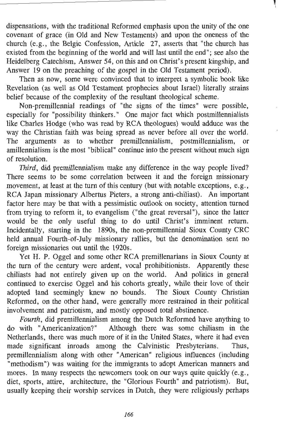dispensations, with the traditional Reformed emphasis upon the unity of the one covenant of grace (in Old and New Testaments) and upon the oneness of the church (e.g., the Belgic Confession, Article 27, asserts that "the church has existed from the beginning of the world and will last until the end"; see also the Heidelberg Catechism, Answer 54, on this and on Christ's present kingship, and Answer 19 on the preaching of the gospel in the Old Testament period).

Then as now, some were convinced that to interpret a symbolic book like Revelation (as well as Old Testament prophecies about Israel) literally strains belief because of the complexity of the resultant theological scheme.

Non-premillennial readings of "the signs of the times" were possible, especially for "possibility thinkers." One major fact which postmillennialists like Charles Hodge (who was read by RCA theologues) would adduce was the way the Christian faith was being spread as never before all over the world. The arguments as to whether premillennialism, postmillennialism, amillennialism is the most "biblical" continue into the present without much sign of resolution.

Third, did premillennialism make any difference in the way people lived? There seems to be some correlation between it and the foreign missionary movement, at least at the turn of this century (but with notable exceptions, e.g., RCA Japan missionary Albertus Pieters, a strong anti-chiliast). An important factor here may be that with a pessimistic outlook on society, attention turned from trying to reform it, to evangelism ("the great reversal"), since the latter would be the only useful thing to do until Christ's imminent return. Incidentally, starting in the 1890s, the non-premillennial Sioux County CRC held annual Fourth-of-July missionary rallies, but the denomination sent no foreign missionaries out until the 1920s.

Yet H. P. Oggel and some other RCA premillenarians in Sioux County at the turn of the century were ardent, vocal prohibitionists. Apparently these chiliasts had not entirely given up on the world. And politics in general continued to exercise Oggel and his cohorts greatly, while their love of their adopted land seemingly knew no bounds. The Sioux County Christian Reformed, on the other hand, were generally more restrained in their political involvement and patriotism, and mostly opposed total abstinence.

*Fourth,* did premillennialism among the Dutch Reformed have anything to do with "Americanization?" Although there was some chiliasm in the Netherlands, there was much more of it in the United States, where it had even made significant inroads among the Calvinistic Presbyterians. Thus, premillennialism along with other "American" religious influences (including "methodism") was waiting for the immigrants to adopt American manners and mores. In many respects the newcomers took on our ways quite quickly (e.g., diet, sports, attire, architecture, the "Glorious Fourth" and patriotism). But, usually keeping their worship services in Dutch, they were religiously perhaps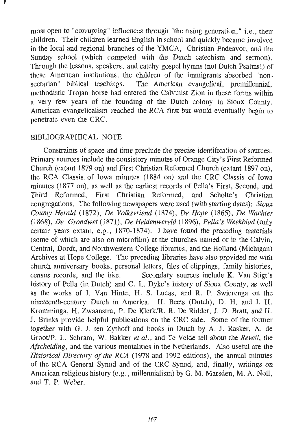most open to "corrupting" influences through "the rising generation," i.e., their children. Their children learned English in school and quickly became involved in the local and regional branches of the YMCA, Christian Endeavor, and the Sunday school (which competed with the Dutch catechism and sermon). Through the lessons, speakers, and catchy gospel hymns (not Dutch Psalms!) of these American institutions, the children of the immigrants absorbed "nonsectarian" biblical teachings. The American evangelical, premillennial, methodistic Trojan horse had entered the Calvinist Zion in these forms within a very few years of the founding of the Dutch colony in Sioux County. American evangelicalism reached the RCA first but would eventually begin to penetrate even the CRC.

## BIBLIOGRAPHICAL NOTE

Constraints of space and time preclude the precise identification of sources. Primary sources include the consistory minutes of Orange City's First Reformed Church (extant 1879 on) and First Christian Reformed Church (extant 1897 on), the RCA Classis, of Iowa minutes (1884 on) and the CRC Classis of Iowa minutes (1877 on), as well as the earliest records of Pella's First, Second, and Third Reformed, First Christian Reformed, and Scholte's Christian congregations. The following newspapers were used (with starting dates): *Sioux County Herald* (1872), *De Volksvriend* (1874), *De Hope* (1865), *De Wachter*  (1868), *De Grondwet* (1871), *De Heidenwereld* (1896), *Pella's Weekblad* (only certain years extant, e.g.,  $1870-1874$ ). I have found the preceding materials (some of which are also on microfilm) at the churches named or in the Calvin, Central, Dordt, and Northwestern College libraries, and the Holland (Michigan) Archives at Hope College. The preceding libraries have also prpvided me with church anniversary books, personal letters, files of clippings, family histories, census records, and the like. Secondary sources include K. Van Stigt's history of Pella (in Dutch) and C. L. Dyke's history of Sioux County, as well as the works of J. Van Hinte, H. S. Lucas, and R. P. Swierenga on the nineteenth-century Dutch in America. H. Beets (Dutch), D. H. and J. H. Kromminga, H. Zwaanstra, P. De Klerk/R. R. De Ridder, J. D. Bratt, and H. J. Brinks provide helpful publications on the CRC side. Some of the former together with G. J. ten Zythoff and books in Dutch by A. J. Rasker, A. de Groot/P. L. Schram, W. Bakker *et al.,* and Te Velde tell about the *Reveil,* the *Afscheiding,* and the various mentalities in the Netherlands. Also useful are the *Historical Directory of the RCA* (1978 and 1992 editions), the annual minutes of the RCA General Synod and of the CRC Synod, and, finally, writings on American religious history (e.g., millennialism) by G. M. Marsden, M. A. Noll, and T. P. Weber.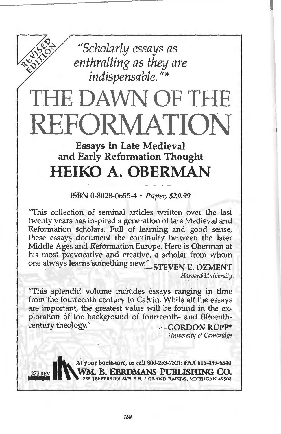*"Scholarly essays as enthralling as they are indispensable.* "\*

# THE DAWN OF THE REFORMATION

# Essays in Late Medieval and Early Reformation Thought **HEIKO A. OBERMAN**

ISBN 0-8028-0655-4 • Paper, \$29.99

"This collection of seminal articles written over the last twenty years has inspired a generation of late Medieval and Reformation scholars. Full of learning and good sense, these essays document the continuity between the later Middle Ages and Reformation Europe. Here is Oberman at his most provocative and creative, a scholar from whom one always learns something new." STEVEN E. OZMENT

*Harvard University* 

"This splendid volume includes essays ranging in time from the fourteenth century to Calvin. While all the essays are important, the greatest value will be found in the exploration of the background of fourteenth- and fifteenth-<br>century theology." GORDON RUPP\*

*University of Cambridge* 

273 REV WM. B. EERDMANS PUBLISHING CO. 253-7521; FAX 616-459-6540 273 REV WM. B. EERDMANS PUBLISHING CO.